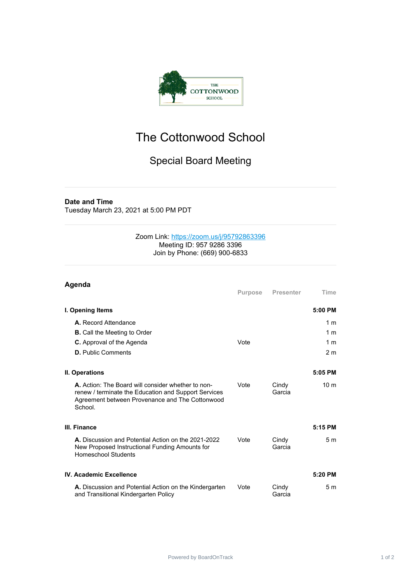

## The Cottonwood School

## Special Board Meeting

## **Date and Time**

Tuesday March 23, 2021 at 5:00 PM PDT

## Zoom Link: <https://zoom.us/j/95792863396> Meeting ID: 957 9286 3396 Join by Phone: (669) 900-6833

| Agenda                                                                                                                                                                   |                |                  |                 |
|--------------------------------------------------------------------------------------------------------------------------------------------------------------------------|----------------|------------------|-----------------|
|                                                                                                                                                                          | <b>Purpose</b> | <b>Presenter</b> | Time            |
| I. Opening Items                                                                                                                                                         |                |                  | 5:00 PM         |
| A. Record Attendance                                                                                                                                                     |                |                  | 1 <sub>m</sub>  |
| <b>B.</b> Call the Meeting to Order                                                                                                                                      |                |                  | 1 <sub>m</sub>  |
| C. Approval of the Agenda                                                                                                                                                | Vote           |                  | 1 <sub>m</sub>  |
| <b>D.</b> Public Comments                                                                                                                                                |                |                  | 2 <sub>m</sub>  |
| II. Operations                                                                                                                                                           |                |                  | 5:05 PM         |
| A. Action: The Board will consider whether to non-<br>renew / terminate the Education and Support Services<br>Agreement between Provenance and The Cottonwood<br>School. | Vote           | Cindy<br>Garcia  | 10 <sub>m</sub> |
| III. Finance                                                                                                                                                             |                |                  | 5:15 PM         |
| A. Discussion and Potential Action on the 2021-2022<br>New Proposed Instructional Funding Amounts for<br><b>Homeschool Students</b>                                      | Vote           | Cindy<br>Garcia  | 5 <sub>m</sub>  |
| <b>IV. Academic Excellence</b>                                                                                                                                           |                |                  | $5:20$ PM       |
| A. Discussion and Potential Action on the Kindergarten<br>and Transitional Kindergarten Policy                                                                           | Vote           | Cindy<br>Garcia  | 5 <sub>m</sub>  |